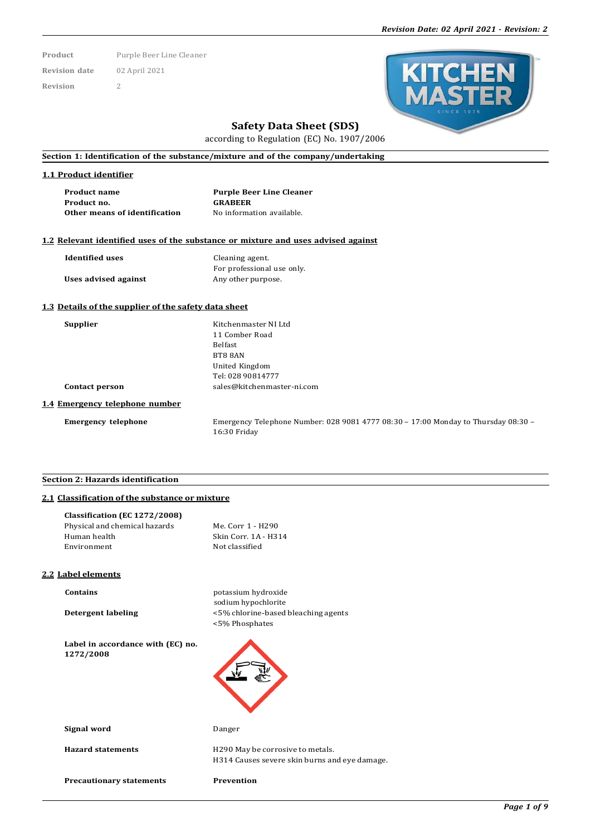**Product** Purple Beer Line Cleaner **Revision date** 02 April 2021 **Revision** 2



# **Safety Data Sheet (SDS)**

according to Regulation (EC) No. 1907/2006

## **Section 1: Identification of the substance/mixture and of the company/undertaking**

#### **1.1 Product identifier**

| <b>Product name</b>           | <b>Purple Beer Line Cleaner</b> |
|-------------------------------|---------------------------------|
| Product no.                   | <b>GRABEER</b>                  |
| Other means of identification | No information available.       |

## **1.2 Relevant identified uses of the substance or mixture and uses advised against**

| <b>Identified</b> uses | Cleaning agent.            |  |  |
|------------------------|----------------------------|--|--|
|                        | For professional use only. |  |  |
| Uses advised against   | Any other purpose.         |  |  |

#### **1.3 Details of the supplier of the safety data sheet**

| amnnie |
|--------|
|--------|

**Supplier** Kitchenmaster NI Ltd 11 Comber Road Belfast BT8 8AN United Kingdom Tel: 028 90814777 **Contact person** [sales@kitchenmaster-ni.com](mailto:sales@kitchenmaster-ni.com)

#### **1.4 Emergency telephone number**

**Emergency telephone** Emergency Telephone Number: 028 9081 4777 08:30 – 17:00 Monday to Thursday 08:30 – 16:30 Friday

## **Section 2: Hazards identification**

## **2.1 Classification of the substance or mixture**

| Classification (EC 1272/2008)                  |                                               |
|------------------------------------------------|-----------------------------------------------|
| Physical and chemical hazards                  | Me. Corr 1 - H290                             |
| Human health                                   | Skin Corr. 1A - H314                          |
| Environment                                    | Not classified                                |
|                                                |                                               |
| <b>2.2 Label elements</b>                      |                                               |
| Contains                                       | potassium hydroxide                           |
|                                                | sodium hypochlorite                           |
| <b>Detergent labeling</b>                      | <5% chlorine-based bleaching agents           |
|                                                | <5% Phosphates                                |
| Label in accordance with (EC) no.<br>1272/2008 |                                               |
| Signal word                                    | Danger                                        |
| <b>Hazard statements</b>                       | H290 May be corrosive to metals.              |
|                                                | H314 Causes severe skin burns and eye damage. |
| <b>Precautionary statements</b>                | <b>Prevention</b>                             |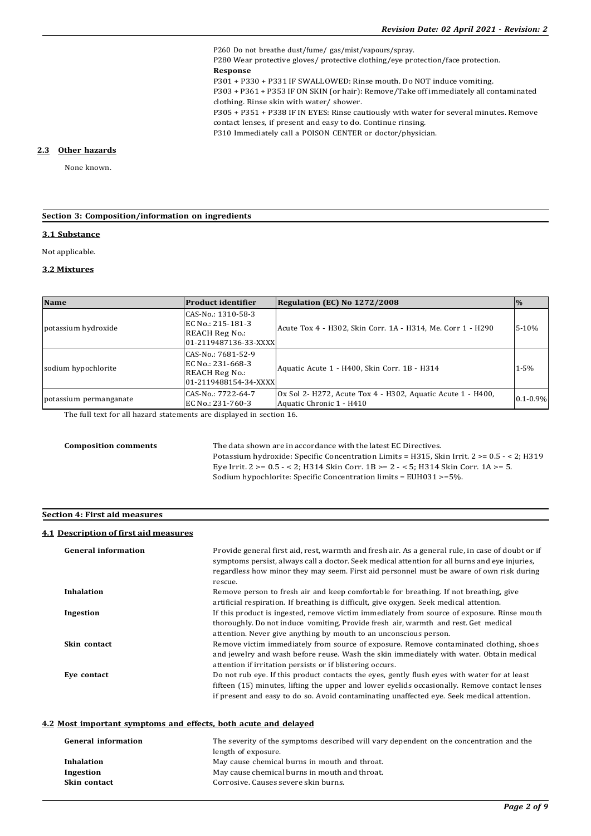P260 Do not breathe dust/fume/ gas/mist/vapours/spray. P280 Wear protective gloves/ protective clothing/eye protection/face protection. **Response** P301 + P330 + P331 IF SWALLOWED: Rinse mouth. Do NOT induce vomiting. P303 + P361 + P353 IF ON SKIN (or hair): Remove/Take off immediately all contaminated clothing. Rinse skin with water/ shower. P305 + P351 + P338 IF IN EYES: Rinse cautiously with water for several minutes. Remove contact lenses, if present and easy to do. Continue rinsing. P310 Immediately call a POISON CENTER or doctor/physician.

#### **2.3 Other hazards**

None known.

### **Section 3: Composition/information on ingredients**

#### **3.1 Substance**

Not applicable.

#### **3.2 Mixtures**

| <b>Name</b>            | <b>Product identifier</b>                                                                 | Regulation (EC) No 1272/2008                                                            |               |
|------------------------|-------------------------------------------------------------------------------------------|-----------------------------------------------------------------------------------------|---------------|
| potassium hydroxide    | CAS-No.: 1310-58-3<br>EC No.: 215-181-3<br><b>REACH Reg No.:</b><br>01-2119487136-33-XXXX | Acute Tox 4 - H302, Skin Corr. 1A - H314, Me. Corr 1 - H290                             | $5-10%$       |
| sodium hypochlorite    | CAS-No.: 7681-52-9<br>EC No.: 231-668-3<br><b>REACH Reg No.:</b><br>01-2119488154-34-XXXX | Aquatic Acute 1 - H400, Skin Corr. 1B - H314                                            | $1 - 5%$      |
| potassium permanganate | CAS-No.: 7722-64-7<br>EC No.: 231-760-3                                                   | Ox Sol 2- H272, Acute Tox 4 - H302, Aquatic Acute 1 - H400,<br>Aquatic Chronic 1 - H410 | $0.1 - 0.9\%$ |

The full text for all hazard statements are displayed in section 16.

**Composition comments** The data shown are in accordance with the latest EC Directives. Potassium hydroxide: Specific Concentration Limits = H315, Skin Irrit. 2 >= 0.5 - < 2; H319 Eye Irrit. 2 >= 0.5 - < 2; H314 Skin Corr. 1B >= 2 - < 5; H314 Skin Corr. 1A >= 5. Sodium hypochlorite: Specific Concentration limits = EUH031 >=5%.

## **Section 4: First aid measures**

## **4.1 Description of first aid measures**

| <b>General information</b> | Provide general first aid, rest, warmth and fresh air. As a general rule, in case of doubt or if<br>symptoms persist, always call a doctor. Seek medical attention for all burns and eye injuries,<br>regardless how minor they may seem. First aid personnel must be aware of own risk during |
|----------------------------|------------------------------------------------------------------------------------------------------------------------------------------------------------------------------------------------------------------------------------------------------------------------------------------------|
| <b>Inhalation</b>          | rescue.<br>Remove person to fresh air and keep comfortable for breathing. If not breathing, give                                                                                                                                                                                               |
|                            | artificial respiration. If breathing is difficult, give oxygen. Seek medical attention.                                                                                                                                                                                                        |
| Ingestion                  | If this product is ingested, remove victim immediately from source of exposure. Rinse mouth<br>thoroughly. Do not induce vomiting. Provide fresh air, warmth and rest. Get medical                                                                                                             |
|                            | attention. Never give anything by mouth to an unconscious person.                                                                                                                                                                                                                              |
| Skin contact               | Remove victim immediately from source of exposure. Remove contaminated clothing, shoes<br>and jewelry and wash before reuse. Wash the skin immediately with water. Obtain medical<br>attention if irritation persists or if blistering occurs.                                                 |
| Eve contact                | Do not rub eve. If this product contacts the eves, gently flush eves with water for at least<br>fifteen (15) minutes, lifting the upper and lower eyelids occasionally. Remove contact lenses<br>if present and easy to do so. Avoid contaminating unaffected eye. Seek medical attention.     |
|                            |                                                                                                                                                                                                                                                                                                |

### **4.2 Most important symptoms and effects, both acute and delayed**

| <b>General information</b> | The severity of the symptoms described will vary dependent on the concentration and the |
|----------------------------|-----------------------------------------------------------------------------------------|
|                            | length of exposure.                                                                     |
| Inhalation                 | May cause chemical burns in mouth and throat.                                           |
| Ingestion                  | May cause chemical burns in mouth and throat.                                           |
| Skin contact               | Corrosive. Causes severe skin burns.                                                    |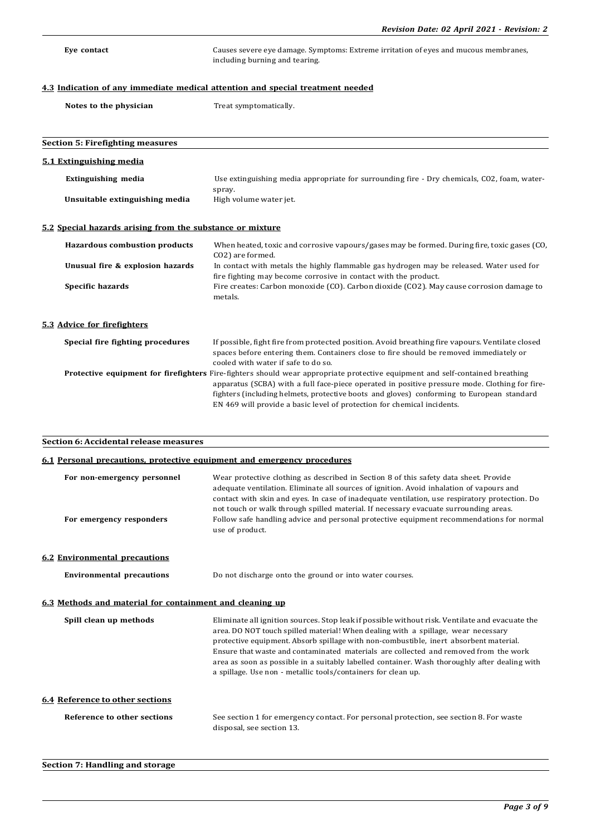**Eye contact** Causes severe eye damage. Symptoms: Extreme irritation of eyes and mucous membranes, including burning and tearing.

## **4.3 Indication of any immediate medical attention and special treatment needed**

|  |  | Notes to the physician |
|--|--|------------------------|
|  |  |                        |

**Treat symptomatically.** 

| <b>Section 5: Firefighting measures</b>                   |                                                                                                                                                                                                                                                                                                                                                                                                                |
|-----------------------------------------------------------|----------------------------------------------------------------------------------------------------------------------------------------------------------------------------------------------------------------------------------------------------------------------------------------------------------------------------------------------------------------------------------------------------------------|
| 5.1 Extinguishing media                                   |                                                                                                                                                                                                                                                                                                                                                                                                                |
| <b>Extinguishing media</b>                                | Use extinguishing media appropriate for surrounding fire - Dry chemicals, CO2, foam, water-<br>spray.                                                                                                                                                                                                                                                                                                          |
| Unsuitable extinguishing media                            | High volume water jet.                                                                                                                                                                                                                                                                                                                                                                                         |
| 5.2 Special hazards arising from the substance or mixture |                                                                                                                                                                                                                                                                                                                                                                                                                |
| <b>Hazardous combustion products</b>                      | When heated, toxic and corrosive vapours/gases may be formed. During fire, toxic gases (CO,<br>CO2) are formed.                                                                                                                                                                                                                                                                                                |
| Unusual fire & explosion hazards                          | In contact with metals the highly flammable gas hydrogen may be released. Water used for<br>fire fighting may become corrosive in contact with the product.                                                                                                                                                                                                                                                    |
| Specific hazards                                          | Fire creates: Carbon monoxide (CO). Carbon dioxide (CO2). May cause corrosion damage to<br>metals.                                                                                                                                                                                                                                                                                                             |
| 5.3 Advice for firefighters                               |                                                                                                                                                                                                                                                                                                                                                                                                                |
| Special fire fighting procedures                          | If possible, fight fire from protected position. Avoid breathing fire vapours. Ventilate closed<br>spaces before entering them. Containers close to fire should be removed immediately or<br>cooled with water if safe to do so.                                                                                                                                                                               |
|                                                           | <b>Protective equipment for firefighters</b> Fire-fighters should wear appropriate protective equipment and self-contained breathing<br>apparatus (SCBA) with a full face-piece operated in positive pressure mode. Clothing for fire-<br>fighters (including helmets, protective boots and gloves) conforming to European standard<br>EN 469 will provide a basic level of protection for chemical incidents. |

# **Section 6: Accidental release measures**

**Section 7: Handling and storage**

| 6.1 Personal precautions, protective equipment and emergency procedures |                                                                                                                                                                                                                                                                                                                                                                                                                                                                                                                                        |  |  |  |
|-------------------------------------------------------------------------|----------------------------------------------------------------------------------------------------------------------------------------------------------------------------------------------------------------------------------------------------------------------------------------------------------------------------------------------------------------------------------------------------------------------------------------------------------------------------------------------------------------------------------------|--|--|--|
| For non-emergency personnel<br>For emergency responders                 | Wear protective clothing as described in Section 8 of this safety data sheet. Provide<br>adequate ventilation. Eliminate all sources of ignition. Avoid inhalation of vapours and<br>contact with skin and eyes. In case of inadequate ventilation, use respiratory protection. Do<br>not touch or walk through spilled material. If necessary evacuate surrounding areas.<br>Follow safe handling advice and personal protective equipment recommendations for normal<br>use of product.                                              |  |  |  |
| <b>6.2 Environmental precautions</b>                                    |                                                                                                                                                                                                                                                                                                                                                                                                                                                                                                                                        |  |  |  |
| <b>Environmental precautions</b>                                        | Do not discharge onto the ground or into water courses.                                                                                                                                                                                                                                                                                                                                                                                                                                                                                |  |  |  |
| 6.3 Methods and material for containment and cleaning up                |                                                                                                                                                                                                                                                                                                                                                                                                                                                                                                                                        |  |  |  |
| Spill clean up methods                                                  | Eliminate all ignition sources. Stop leak if possible without risk. Ventilate and evacuate the<br>area. DO NOT touch spilled material! When dealing with a spillage, wear necessary<br>protective equipment. Absorb spillage with non-combustible, inert absorbent material.<br>Ensure that waste and contaminated materials are collected and removed from the work<br>area as soon as possible in a suitably labelled container. Wash thoroughly after dealing with<br>a spillage. Use non - metallic tools/containers for clean up. |  |  |  |
| 6.4 Reference to other sections                                         |                                                                                                                                                                                                                                                                                                                                                                                                                                                                                                                                        |  |  |  |
| Reference to other sections                                             | See section 1 for emergency contact. For personal protection, see section 8. For waste<br>disposal, see section 13.                                                                                                                                                                                                                                                                                                                                                                                                                    |  |  |  |

# *Page 3 of 9*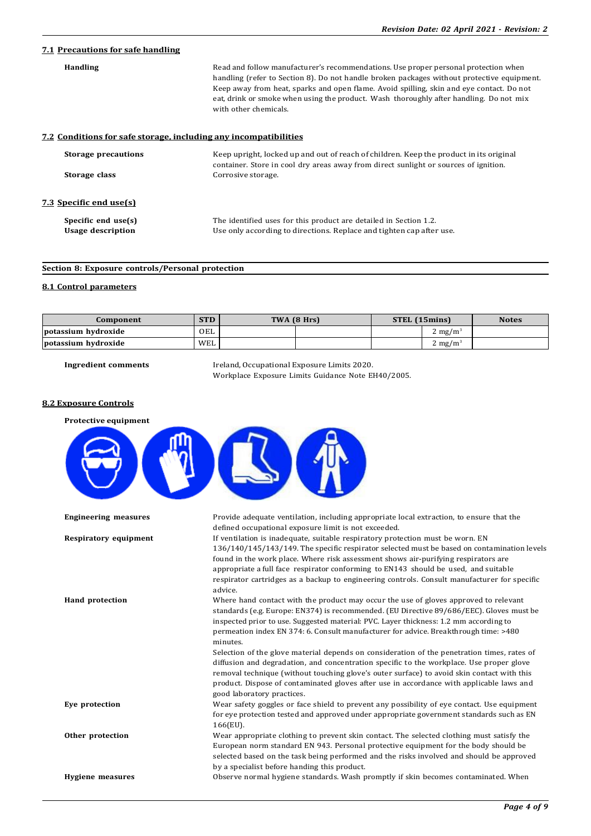# **7.1 Precautions for safe handling**

| <b>Handling</b><br>7.2 Conditions for safe storage, including any incompatibilities | Read and follow manufacturer's recommendations. Use proper personal protection when<br>handling (refer to Section 8). Do not handle broken packages without protective equipment.<br>Keep away from heat, sparks and open flame. Avoid spilling, skin and eye contact. Do not<br>eat, drink or smoke when using the product. Wash thoroughly after handling. Do not mix<br>with other chemicals. |  |  |  |
|-------------------------------------------------------------------------------------|--------------------------------------------------------------------------------------------------------------------------------------------------------------------------------------------------------------------------------------------------------------------------------------------------------------------------------------------------------------------------------------------------|--|--|--|
| <b>Storage precautions</b>                                                          | Keep upright, locked up and out of reach of children. Keep the product in its original                                                                                                                                                                                                                                                                                                           |  |  |  |
| Storage class                                                                       | container. Store in cool dry areas away from direct sunlight or sources of ignition.<br>Corrosive storage.                                                                                                                                                                                                                                                                                       |  |  |  |
| <u>7.3 Specific end use(s)</u>                                                      |                                                                                                                                                                                                                                                                                                                                                                                                  |  |  |  |
| Specific end use(s)                                                                 | The identified uses for this product are detailed in Section 1.2.                                                                                                                                                                                                                                                                                                                                |  |  |  |
| <b>Usage description</b>                                                            | Use only according to directions. Replace and tighten cap after use.                                                                                                                                                                                                                                                                                                                             |  |  |  |

## **Section 8: Exposure controls/Personal protection**

## **8.1 Control parameters**

| Component           | <b>STD</b> | TWA (8 Hrs) |  | STEL (15mins) |                     | <b>Notes</b> |
|---------------------|------------|-------------|--|---------------|---------------------|--------------|
| potassium hydroxide | OEL        |             |  |               | . mg/m <sup>3</sup> |              |
| potassium hydroxide | WEL        |             |  |               | . mg/m <sup>3</sup> |              |

**Ingredient comments** Ireland, Occupational Exposure Limits 2020. Workplace Exposure Limits Guidance Note EH40/2005.

## **8.2 Exposure Controls**

| Protective equipment         |                                                                                                                                                                                                                                                                                                                                                                                                                                                                                                                                                                                                                                                                                                                                                                                                  |
|------------------------------|--------------------------------------------------------------------------------------------------------------------------------------------------------------------------------------------------------------------------------------------------------------------------------------------------------------------------------------------------------------------------------------------------------------------------------------------------------------------------------------------------------------------------------------------------------------------------------------------------------------------------------------------------------------------------------------------------------------------------------------------------------------------------------------------------|
|                              |                                                                                                                                                                                                                                                                                                                                                                                                                                                                                                                                                                                                                                                                                                                                                                                                  |
| <b>Engineering measures</b>  | Provide adequate ventilation, including appropriate local extraction, to ensure that the<br>defined occupational exposure limit is not exceeded.                                                                                                                                                                                                                                                                                                                                                                                                                                                                                                                                                                                                                                                 |
| <b>Respiratory equipment</b> | If ventilation is inadequate, suitable respiratory protection must be worn. EN<br>136/140/145/143/149. The specific respirator selected must be based on contamination levels<br>found in the work place. Where risk assessment shows air-purifying respirators are<br>appropriate a full face respirator conforming to EN143 should be used, and suitable<br>respirator cartridges as a backup to engineering controls. Consult manufacturer for specific<br>advice.                                                                                                                                                                                                                                                                                                                            |
| <b>Hand protection</b>       | Where hand contact with the product may occur the use of gloves approved to relevant<br>standards (e.g. Europe: EN374) is recommended. (EU Directive 89/686/EEC). Gloves must be<br>inspected prior to use. Suggested material: PVC. Layer thickness: 1.2 mm according to<br>permeation index EN 374: 6. Consult manufacturer for advice. Breakthrough time: >480<br>minutes.<br>Selection of the glove material depends on consideration of the penetration times, rates of<br>diffusion and degradation, and concentration specific to the workplace. Use proper glove<br>removal technique (without touching glove's outer surface) to avoid skin contact with this<br>product. Dispose of contaminated gloves after use in accordance with applicable laws and<br>good laboratory practices. |
| Eye protection               | Wear safety goggles or face shield to prevent any possibility of eye contact. Use equipment<br>for eye protection tested and approved under appropriate government standards such as EN<br>166(EU).                                                                                                                                                                                                                                                                                                                                                                                                                                                                                                                                                                                              |
| Other protection             | Wear appropriate clothing to prevent skin contact. The selected clothing must satisfy the<br>European norm standard EN 943. Personal protective equipment for the body should be<br>selected based on the task being performed and the risks involved and should be approved<br>by a specialist before handing this product.                                                                                                                                                                                                                                                                                                                                                                                                                                                                     |
| <b>Hygiene measures</b>      | Observe normal hygiene standards. Wash promptly if skin becomes contaminated. When                                                                                                                                                                                                                                                                                                                                                                                                                                                                                                                                                                                                                                                                                                               |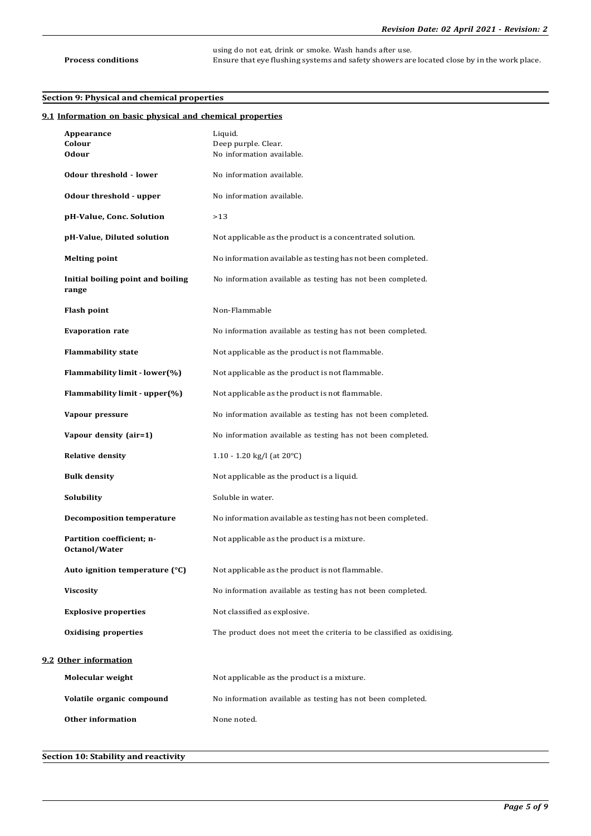using do not eat, drink or smoke. Wash hands after use. **Process conditions** Ensure that eye flushing systems and safety showers are located close by in the work place.

## **Section 9: Physical and chemical properties**

| 9.1 Information on basic physical and chemical properties |                                                                       |
|-----------------------------------------------------------|-----------------------------------------------------------------------|
| Appearance                                                | Liquid.                                                               |
| Colour<br><b>Odour</b>                                    | Deep purple. Clear.<br>No information available.                      |
| Odour threshold - lower                                   | No information available.                                             |
| Odour threshold - upper                                   | No information available.                                             |
| pH-Value, Conc. Solution                                  | >13                                                                   |
| pH-Value, Diluted solution                                | Not applicable as the product is a concentrated solution.             |
| <b>Melting point</b>                                      | No information available as testing has not been completed.           |
| Initial boiling point and boiling<br>range                | No information available as testing has not been completed.           |
| <b>Flash point</b>                                        | Non-Flammable                                                         |
| <b>Evaporation rate</b>                                   | No information available as testing has not been completed.           |
| <b>Flammability state</b>                                 | Not applicable as the product is not flammable.                       |
| Flammability limit - lower(%)                             | Not applicable as the product is not flammable.                       |
| Flammability limit - upper(%)                             | Not applicable as the product is not flammable.                       |
| Vapour pressure                                           | No information available as testing has not been completed.           |
| Vapour density (air=1)                                    | No information available as testing has not been completed.           |
| <b>Relative density</b>                                   | 1.10 - 1.20 kg/l (at $20^{\circ}$ C)                                  |
| <b>Bulk density</b>                                       | Not applicable as the product is a liquid.                            |
| Solubility                                                | Soluble in water.                                                     |
| <b>Decomposition temperature</b>                          | No information available as testing has not been completed.           |
| Partition coefficient; n-<br>Octanol/Water                | Not applicable as the product is a mixture.                           |
| Auto ignition temperature (°C)                            | Not applicable as the product is not flammable.                       |
| <b>Viscosity</b>                                          | No information available as testing has not been completed.           |
| <b>Explosive properties</b>                               | Not classified as explosive.                                          |
| <b>Oxidising properties</b>                               | The product does not meet the criteria to be classified as oxidising. |
| 9.2 Other information                                     |                                                                       |
| Molecular weight                                          | Not applicable as the product is a mixture.                           |
| Volatile organic compound                                 | No information available as testing has not been completed.           |
| <b>Other information</b>                                  | None noted.                                                           |
|                                                           |                                                                       |

# **Section 10: Stability and reactivity**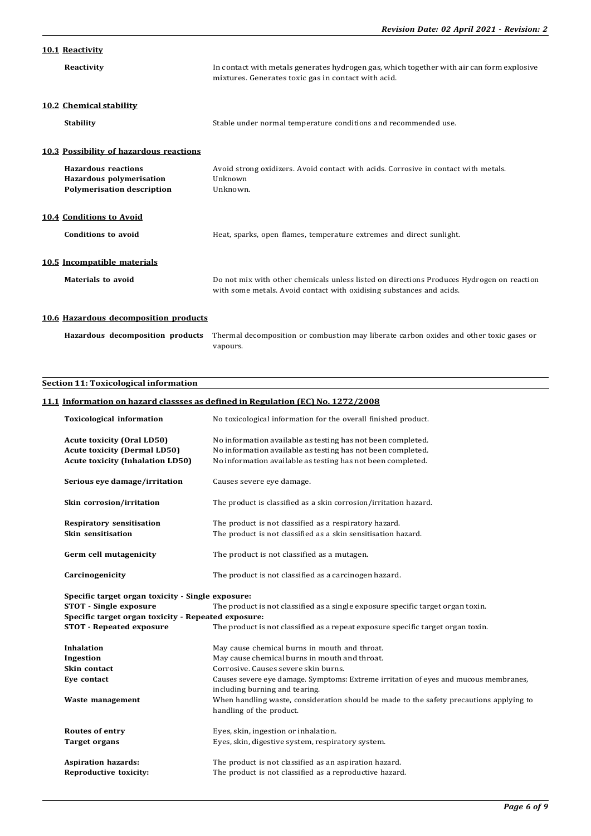# **10.1 Reactivity**

| Reactivity                                                                                  | In contact with metals generates hydrogen gas, which together with air can form explosive<br>mixtures. Generates toxic gas in contact with acid.                  |
|---------------------------------------------------------------------------------------------|-------------------------------------------------------------------------------------------------------------------------------------------------------------------|
| 10.2 Chemical stability<br><b>Stability</b>                                                 | Stable under normal temperature conditions and recommended use.                                                                                                   |
| 10.3 Possibility of hazardous reactions                                                     |                                                                                                                                                                   |
| <b>Hazardous reactions</b><br>Hazardous polymerisation<br><b>Polymerisation description</b> | Avoid strong oxidizers. Avoid contact with acids. Corrosive in contact with metals.<br>Unknown<br>Unknown.                                                        |
| 10.4 Conditions to Avoid                                                                    |                                                                                                                                                                   |
| Conditions to avoid                                                                         | Heat, sparks, open flames, temperature extremes and direct sunlight.                                                                                              |
| 10.5 Incompatible materials                                                                 |                                                                                                                                                                   |
| Materials to avoid                                                                          | Do not mix with other chemicals unless listed on directions Produces Hydrogen on reaction<br>with some metals. Avoid contact with oxidising substances and acids. |
| 10.6 Hazardous decomposition products                                                       |                                                                                                                                                                   |

| <b>Hazardous decomposition products</b> Thermal decomposition or combustion may liberate carbon oxides and other toxic gases or |
|---------------------------------------------------------------------------------------------------------------------------------|
| vapours.                                                                                                                        |

# **Section 11: Toxicological information**

# **11.1 Information on hazard classses as defined in Regulation (EC) No. 1272/2008**

| <b>Toxicological information</b>                                                                                   | No toxicological information for the overall finished product.                          |  |
|--------------------------------------------------------------------------------------------------------------------|-----------------------------------------------------------------------------------------|--|
| <b>Acute toxicity (Oral LD50)</b>                                                                                  | No information available as testing has not been completed.                             |  |
| <b>Acute toxicity (Dermal LD50)</b>                                                                                | No information available as testing has not been completed.                             |  |
| <b>Acute toxicity (Inhalation LD50)</b>                                                                            | No information available as testing has not been completed.                             |  |
| Serious eve damage/irritation                                                                                      | Causes severe eve damage.                                                               |  |
| Skin corrosion/irritation                                                                                          | The product is classified as a skin corrosion/irritation hazard.                        |  |
| <b>Respiratory sensitisation</b>                                                                                   | The product is not classified as a respiratory hazard.                                  |  |
| Skin sensitisation                                                                                                 | The product is not classified as a skin sensitisation hazard.                           |  |
| Germ cell mutagenicity                                                                                             | The product is not classified as a mutagen.                                             |  |
| Carcinogenicity                                                                                                    | The product is not classified as a carcinogen hazard.                                   |  |
| Specific target organ toxicity - Single exposure:                                                                  |                                                                                         |  |
| <b>STOT</b> - Single exposure<br>The product is not classified as a single exposure specific target organ toxin.   |                                                                                         |  |
| Specific target organ toxicity - Repeated exposure:                                                                |                                                                                         |  |
| <b>STOT - Repeated exposure</b><br>The product is not classified as a repeat exposure specific target organ toxin. |                                                                                         |  |
| <b>Inhalation</b>                                                                                                  | May cause chemical burns in mouth and throat.                                           |  |
| Ingestion                                                                                                          | May cause chemical burns in mouth and throat.                                           |  |
| Skin contact                                                                                                       | Corrosive. Causes severe skin burns.                                                    |  |
| Eye contact                                                                                                        | Causes severe eye damage. Symptoms: Extreme irritation of eyes and mucous membranes,    |  |
|                                                                                                                    |                                                                                         |  |
|                                                                                                                    | including burning and tearing.                                                          |  |
| Waste management                                                                                                   | When handling waste, consideration should be made to the safety precautions applying to |  |
|                                                                                                                    | handling of the product.                                                                |  |
| Routes of entry                                                                                                    | Eyes, skin, ingestion or inhalation.                                                    |  |
| <b>Target organs</b>                                                                                               | Eyes, skin, digestive system, respiratory system.                                       |  |
| <b>Aspiration hazards:</b>                                                                                         | The product is not classified as an aspiration hazard.                                  |  |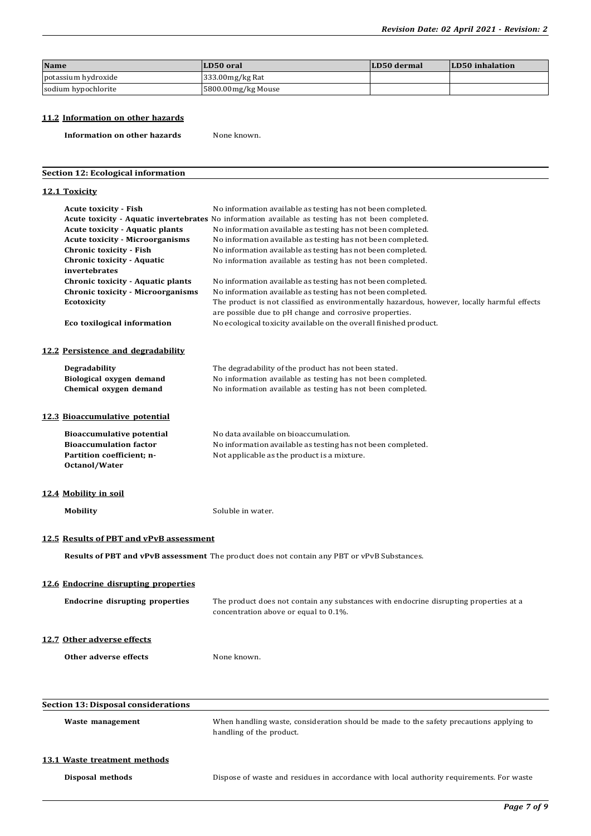| <b>Name</b>         | LD50 oral          | LD50 dermal | LD50 inhalation |
|---------------------|--------------------|-------------|-----------------|
| potassium hydroxide | $333.00$ mg/kg Rat |             |                 |
| sodium hypochlorite | 5800.00mg/kg Mouse |             |                 |

# **11.2 Information on other hazards**

**Information on other hazards** None known.

## **Section 12: Ecological information**

## **12.1 Toxicity**

| <b>Acute toxicity - Fish</b><br><b>Acute toxicity - Aquatic plants</b><br><b>Acute toxicity - Microorganisms</b><br><b>Chronic toxicity - Fish</b><br><b>Chronic toxicity - Aquatic</b><br>invertebrates<br>Chronic toxicity - Aquatic plants<br><b>Chronic toxicity - Microorganisms</b><br><b>Ecotoxicity</b><br>Eco toxilogical information | No information available as testing has not been completed.<br>Acute toxicity - Aquatic invertebrates No information available as testing has not been completed.<br>No information available as testing has not been completed.<br>No information available as testing has not been completed.<br>No information available as testing has not been completed.<br>No information available as testing has not been completed.<br>No information available as testing has not been completed.<br>No information available as testing has not been completed.<br>The product is not classified as environmentally hazardous, however, locally harmful effects<br>are possible due to pH change and corrosive properties.<br>No ecological toxicity available on the overall finished product. |  |
|------------------------------------------------------------------------------------------------------------------------------------------------------------------------------------------------------------------------------------------------------------------------------------------------------------------------------------------------|---------------------------------------------------------------------------------------------------------------------------------------------------------------------------------------------------------------------------------------------------------------------------------------------------------------------------------------------------------------------------------------------------------------------------------------------------------------------------------------------------------------------------------------------------------------------------------------------------------------------------------------------------------------------------------------------------------------------------------------------------------------------------------------------|--|
| 12.2 Persistence and degradability                                                                                                                                                                                                                                                                                                             |                                                                                                                                                                                                                                                                                                                                                                                                                                                                                                                                                                                                                                                                                                                                                                                             |  |
| Degradability<br>Biological oxygen demand<br>Chemical oxygen demand                                                                                                                                                                                                                                                                            | The degradability of the product has not been stated.<br>No information available as testing has not been completed.<br>No information available as testing has not been completed.                                                                                                                                                                                                                                                                                                                                                                                                                                                                                                                                                                                                         |  |
| <b>12.3 Bioaccumulative potential</b>                                                                                                                                                                                                                                                                                                          |                                                                                                                                                                                                                                                                                                                                                                                                                                                                                                                                                                                                                                                                                                                                                                                             |  |
| <b>Bioaccumulative potential</b><br><b>Bioaccumulation factor</b><br>Partition coefficient; n-<br>Octanol/Water                                                                                                                                                                                                                                | No data available on bioaccumulation.<br>No information available as testing has not been completed.<br>Not applicable as the product is a mixture.                                                                                                                                                                                                                                                                                                                                                                                                                                                                                                                                                                                                                                         |  |
| 12.4 Mobility in soil                                                                                                                                                                                                                                                                                                                          |                                                                                                                                                                                                                                                                                                                                                                                                                                                                                                                                                                                                                                                                                                                                                                                             |  |
| <b>Mobility</b>                                                                                                                                                                                                                                                                                                                                | Soluble in water.                                                                                                                                                                                                                                                                                                                                                                                                                                                                                                                                                                                                                                                                                                                                                                           |  |
| 12.5 Results of PBT and vPvB assessment                                                                                                                                                                                                                                                                                                        |                                                                                                                                                                                                                                                                                                                                                                                                                                                                                                                                                                                                                                                                                                                                                                                             |  |
| Results of PBT and vPvB assessment The product does not contain any PBT or vPvB Substances.                                                                                                                                                                                                                                                    |                                                                                                                                                                                                                                                                                                                                                                                                                                                                                                                                                                                                                                                                                                                                                                                             |  |
| 12.6 Endocrine disrupting properties                                                                                                                                                                                                                                                                                                           |                                                                                                                                                                                                                                                                                                                                                                                                                                                                                                                                                                                                                                                                                                                                                                                             |  |
| <b>Endocrine disrupting properties</b>                                                                                                                                                                                                                                                                                                         | The product does not contain any substances with endocrine disrupting properties at a<br>concentration above or equal to 0.1%.                                                                                                                                                                                                                                                                                                                                                                                                                                                                                                                                                                                                                                                              |  |
| 12.7 Other adverse effects                                                                                                                                                                                                                                                                                                                     |                                                                                                                                                                                                                                                                                                                                                                                                                                                                                                                                                                                                                                                                                                                                                                                             |  |
| Other adverse effects                                                                                                                                                                                                                                                                                                                          | None known.                                                                                                                                                                                                                                                                                                                                                                                                                                                                                                                                                                                                                                                                                                                                                                                 |  |
| <b>Section 13: Disposal considerations</b>                                                                                                                                                                                                                                                                                                     |                                                                                                                                                                                                                                                                                                                                                                                                                                                                                                                                                                                                                                                                                                                                                                                             |  |
|                                                                                                                                                                                                                                                                                                                                                |                                                                                                                                                                                                                                                                                                                                                                                                                                                                                                                                                                                                                                                                                                                                                                                             |  |
| Waste management                                                                                                                                                                                                                                                                                                                               | When handling waste, consideration should be made to the safety precautions applying to                                                                                                                                                                                                                                                                                                                                                                                                                                                                                                                                                                                                                                                                                                     |  |

handling of the product.

#### **13.1 Waste treatment methods**

**Disposal methods** Dispose of waste and residues in accordance with local authority requirements. For waste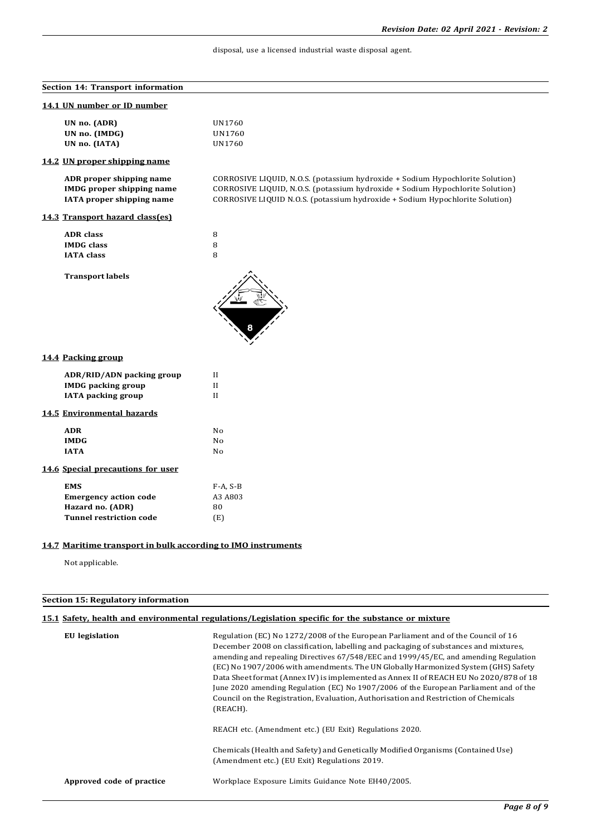## disposal, use a licensed industrial waste disposal agent.

| Section 14: Transport information                                                                |                                                                                                                                                                                                                                                |  |
|--------------------------------------------------------------------------------------------------|------------------------------------------------------------------------------------------------------------------------------------------------------------------------------------------------------------------------------------------------|--|
| 14.1 UN number or ID number                                                                      |                                                                                                                                                                                                                                                |  |
| UN no. (ADR)<br>UN no. (IMDG)<br>UN no. (IATA)                                                   | UN1760<br>UN1760<br>UN1760                                                                                                                                                                                                                     |  |
| 14.2 UN proper shipping name                                                                     |                                                                                                                                                                                                                                                |  |
| ADR proper shipping name<br><b>IMDG</b> proper shipping name<br>IATA proper shipping name        | CORROSIVE LIQUID, N.O.S. (potassium hydroxide + Sodium Hypochlorite Solution)<br>CORROSIVE LIQUID, N.O.S. (potassium hydroxide + Sodium Hypochlorite Solution)<br>CORROSIVE LIQUID N.O.S. (potassium hydroxide + Sodium Hypochlorite Solution) |  |
| 14.3 Transport hazard class(es)                                                                  |                                                                                                                                                                                                                                                |  |
| <b>ADR</b> class<br><b>IMDG</b> class<br><b>IATA</b> class                                       | 8<br>8<br>8                                                                                                                                                                                                                                    |  |
| <b>Transport labels</b>                                                                          |                                                                                                                                                                                                                                                |  |
| 14.4 Packing group                                                                               |                                                                                                                                                                                                                                                |  |
| ADR/RID/ADN packing group<br><b>IMDG</b> packing group<br><b>IATA</b> packing group              | $\mathbf{I}$<br>II<br>$\mathbf{I}$                                                                                                                                                                                                             |  |
| 14.5 Environmental hazards                                                                       |                                                                                                                                                                                                                                                |  |
| <b>ADR</b><br><b>IMDG</b><br><b>IATA</b>                                                         | No<br>No<br>No                                                                                                                                                                                                                                 |  |
| 14.6 Special precautions for user                                                                |                                                                                                                                                                                                                                                |  |
| <b>EMS</b><br><b>Emergency action code</b><br>Hazard no. (ADR)<br><b>Tunnel restriction code</b> | $F-A, S-B$<br>A3 A803<br>80<br>(E)                                                                                                                                                                                                             |  |

## **14.7 Maritime transport in bulk according to IMO instruments**

Not applicable.

# **Section 15: Regulatory information**

# **15.1 Safety, health and environmental regulations/Legislation specific for the substance or mixture**

| <b>EU</b> legislation     | Regulation (EC) No 1272/2008 of the European Parliament and of the Council of 16<br>December 2008 on classification, labelling and packaging of substances and mixtures,<br>amending and repealing Directives 67/548/EEC and 1999/45/EC, and amending Regulation<br>(EC) No 1907/2006 with amendments. The UN Globally Harmonized System (GHS) Safety<br>Data Sheet format (Annex IV) is implemented as Annex II of REACH EU No 2020/878 of 18<br>June 2020 amending Regulation (EC) No 1907/2006 of the European Parliament and of the<br>Council on the Registration, Evaluation, Authorisation and Restriction of Chemicals<br>(REACH). |
|---------------------------|--------------------------------------------------------------------------------------------------------------------------------------------------------------------------------------------------------------------------------------------------------------------------------------------------------------------------------------------------------------------------------------------------------------------------------------------------------------------------------------------------------------------------------------------------------------------------------------------------------------------------------------------|
|                           | REACH etc. (Amendment etc.) (EU Exit) Regulations 2020.                                                                                                                                                                                                                                                                                                                                                                                                                                                                                                                                                                                    |
|                           | Chemicals (Health and Safety) and Genetically Modified Organisms (Contained Use)<br>(Amendment etc.) (EU Exit) Regulations 2019.                                                                                                                                                                                                                                                                                                                                                                                                                                                                                                           |
| Approved code of practice | Workplace Exposure Limits Guidance Note EH40/2005.                                                                                                                                                                                                                                                                                                                                                                                                                                                                                                                                                                                         |